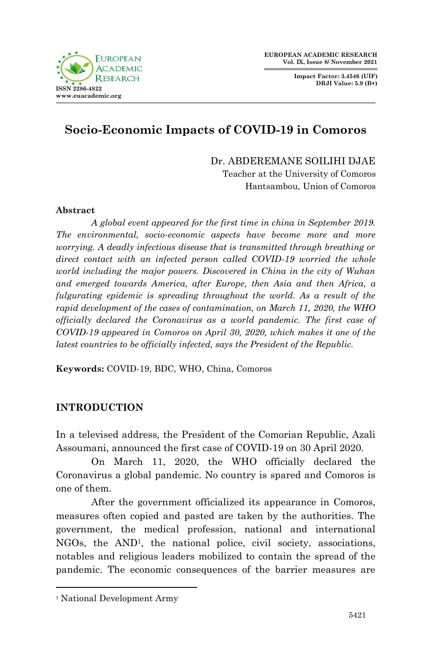

**Impact Factor: 3.4546 (UIF) DRJI Value: 5.9 (B+)**



# **Socio-Economic Impacts of COVID-19 in Comoros**

Dr. ABDEREMANE SOILIHI DJAE Teacher at the University of Comoros Hantsambou, Union of Comoros

#### **Abstract**

*A global event appeared for the first time in china in September 2019. The environmental, socio-economic aspects have become more and more worrying. A deadly infectious disease that is transmitted through breathing or direct contact with an infected person called COVID-19 worried the whole world including the major powers. Discovered in China in the city of Wuhan and emerged towards America, after Europe, then Asia and then Africa, a fulgurating epidemic is spreading throughout the world. As a result of the rapid development of the cases of contamination, on March 11, 2020, the WHO officially declared the Coronavirus as a world pandemic. The first case of COVID-19 appeared in Comoros on April 30, 2020, which makes it one of the latest countries to be officially infected, says the President of the Republic.*

**Keywords:** COVID-19, BDC, WHO, China, Comoros

#### **INTRODUCTION**

In a televised address, the President of the Comorian Republic, Azali Assoumani, announced the first case of COVID-19 on 30 April 2020.

On March 11, 2020, the WHO officially declared the Coronavirus a global pandemic. No country is spared and Comoros is one of them.

After the government officialized its appearance in Comoros, measures often copied and pasted are taken by the authorities. The government, the medical profession, national and international NGOs, the AND1, the national police, civil society, associations, notables and religious leaders mobilized to contain the spread of the pandemic. The economic consequences of the barrier measures are

1

<sup>1</sup> National Development Army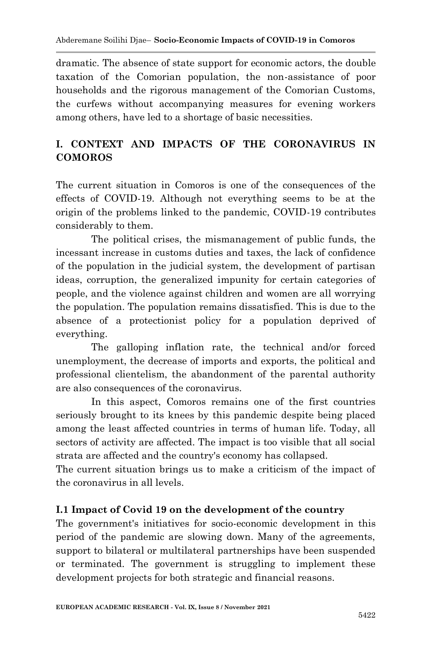dramatic. The absence of state support for economic actors, the double taxation of the Comorian population, the non-assistance of poor households and the rigorous management of the Comorian Customs, the curfews without accompanying measures for evening workers among others, have led to a shortage of basic necessities.

## **I. CONTEXT AND IMPACTS OF THE CORONAVIRUS IN COMOROS**

The current situation in Comoros is one of the consequences of the effects of COVID-19. Although not everything seems to be at the origin of the problems linked to the pandemic, COVID-19 contributes considerably to them.

The political crises, the mismanagement of public funds, the incessant increase in customs duties and taxes, the lack of confidence of the population in the judicial system, the development of partisan ideas, corruption, the generalized impunity for certain categories of people, and the violence against children and women are all worrying the population. The population remains dissatisfied. This is due to the absence of a protectionist policy for a population deprived of everything.

The galloping inflation rate, the technical and/or forced unemployment, the decrease of imports and exports, the political and professional clientelism, the abandonment of the parental authority are also consequences of the coronavirus.

In this aspect, Comoros remains one of the first countries seriously brought to its knees by this pandemic despite being placed among the least affected countries in terms of human life. Today, all sectors of activity are affected. The impact is too visible that all social strata are affected and the country's economy has collapsed.

The current situation brings us to make a criticism of the impact of the coronavirus in all levels.

## **I.1 Impact of Covid 19 on the development of the country**

The government's initiatives for socio-economic development in this period of the pandemic are slowing down. Many of the agreements, support to bilateral or multilateral partnerships have been suspended or terminated. The government is struggling to implement these development projects for both strategic and financial reasons.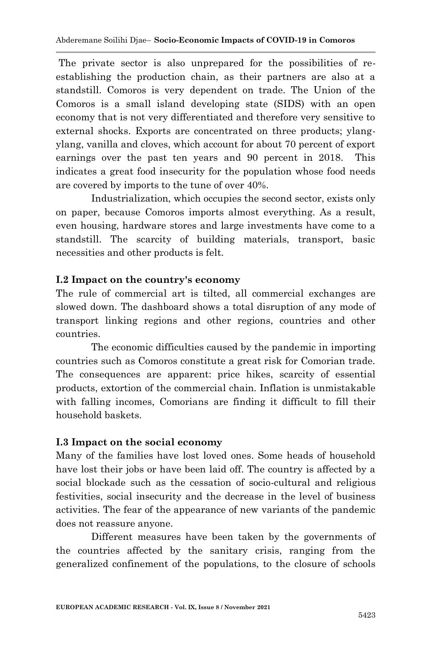The private sector is also unprepared for the possibilities of reestablishing the production chain, as their partners are also at a standstill. Comoros is very dependent on trade. The Union of the Comoros is a small island developing state (SIDS) with an open economy that is not very differentiated and therefore very sensitive to external shocks. Exports are concentrated on three products; ylangylang, vanilla and cloves, which account for about 70 percent of export earnings over the past ten years and 90 percent in 2018. This indicates a great food insecurity for the population whose food needs are covered by imports to the tune of over 40%.

Industrialization, which occupies the second sector, exists only on paper, because Comoros imports almost everything. As a result, even housing, hardware stores and large investments have come to a standstill. The scarcity of building materials, transport, basic necessities and other products is felt.

#### **I.2 Impact on the country's economy**

The rule of commercial art is tilted, all commercial exchanges are slowed down. The dashboard shows a total disruption of any mode of transport linking regions and other regions, countries and other countries.

The economic difficulties caused by the pandemic in importing countries such as Comoros constitute a great risk for Comorian trade. The consequences are apparent: price hikes, scarcity of essential products, extortion of the commercial chain. Inflation is unmistakable with falling incomes, Comorians are finding it difficult to fill their household baskets.

#### **I.3 Impact on the social economy**

Many of the families have lost loved ones. Some heads of household have lost their jobs or have been laid off. The country is affected by a social blockade such as the cessation of socio-cultural and religious festivities, social insecurity and the decrease in the level of business activities. The fear of the appearance of new variants of the pandemic does not reassure anyone.

Different measures have been taken by the governments of the countries affected by the sanitary crisis, ranging from the generalized confinement of the populations, to the closure of schools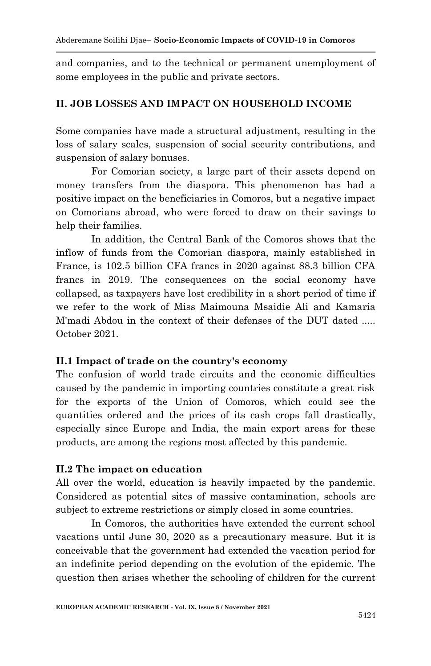and companies, and to the technical or permanent unemployment of some employees in the public and private sectors.

### **II. JOB LOSSES AND IMPACT ON HOUSEHOLD INCOME**

Some companies have made a structural adjustment, resulting in the loss of salary scales, suspension of social security contributions, and suspension of salary bonuses.

For Comorian society, a large part of their assets depend on money transfers from the diaspora. This phenomenon has had a positive impact on the beneficiaries in Comoros, but a negative impact on Comorians abroad, who were forced to draw on their savings to help their families.

In addition, the Central Bank of the Comoros shows that the inflow of funds from the Comorian diaspora, mainly established in France, is 102.5 billion CFA francs in 2020 against 88.3 billion CFA francs in 2019. The consequences on the social economy have collapsed, as taxpayers have lost credibility in a short period of time if we refer to the work of Miss Maimouna Msaidie Ali and Kamaria M'madi Abdou in the context of their defenses of the DUT dated ..... October 2021.

#### **II.1 Impact of trade on the country's economy**

The confusion of world trade circuits and the economic difficulties caused by the pandemic in importing countries constitute a great risk for the exports of the Union of Comoros, which could see the quantities ordered and the prices of its cash crops fall drastically, especially since Europe and India, the main export areas for these products, are among the regions most affected by this pandemic.

#### **II.2 The impact on education**

All over the world, education is heavily impacted by the pandemic. Considered as potential sites of massive contamination, schools are subject to extreme restrictions or simply closed in some countries.

In Comoros, the authorities have extended the current school vacations until June 30, 2020 as a precautionary measure. But it is conceivable that the government had extended the vacation period for an indefinite period depending on the evolution of the epidemic. The question then arises whether the schooling of children for the current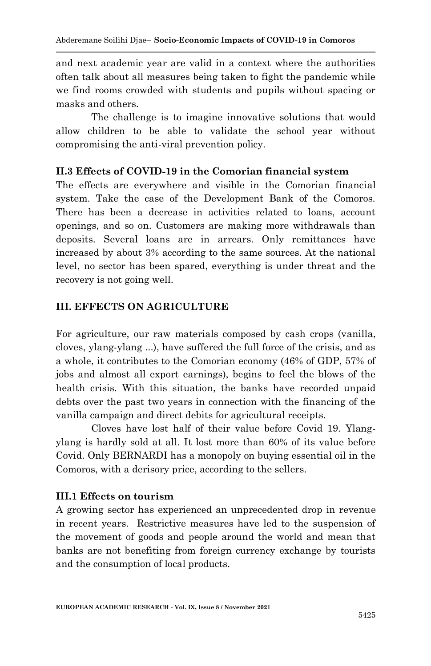and next academic year are valid in a context where the authorities often talk about all measures being taken to fight the pandemic while we find rooms crowded with students and pupils without spacing or masks and others.

The challenge is to imagine innovative solutions that would allow children to be able to validate the school year without compromising the anti-viral prevention policy.

### **II.3 Effects of COVID-19 in the Comorian financial system**

The effects are everywhere and visible in the Comorian financial system. Take the case of the Development Bank of the Comoros. There has been a decrease in activities related to loans, account openings, and so on. Customers are making more withdrawals than deposits. Several loans are in arrears. Only remittances have increased by about 3% according to the same sources. At the national level, no sector has been spared, everything is under threat and the recovery is not going well.

## **III. EFFECTS ON AGRICULTURE**

For agriculture, our raw materials composed by cash crops (vanilla, cloves, ylang-ylang ...), have suffered the full force of the crisis, and as a whole, it contributes to the Comorian economy (46% of GDP, 57% of jobs and almost all export earnings), begins to feel the blows of the health crisis. With this situation, the banks have recorded unpaid debts over the past two years in connection with the financing of the vanilla campaign and direct debits for agricultural receipts.

Cloves have lost half of their value before Covid 19. Ylangylang is hardly sold at all. It lost more than 60% of its value before Covid. Only BERNARDI has a monopoly on buying essential oil in the Comoros, with a derisory price, according to the sellers.

#### **III.1 Effects on tourism**

A growing sector has experienced an unprecedented drop in revenue in recent years. Restrictive measures have led to the suspension of the movement of goods and people around the world and mean that banks are not benefiting from foreign currency exchange by tourists and the consumption of local products.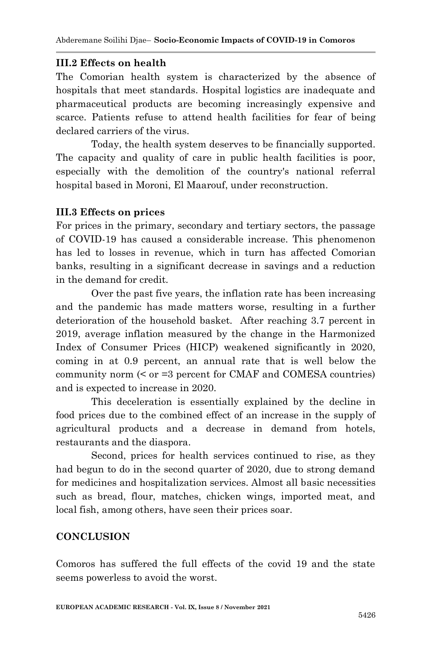#### **III.2 Effects on health**

The Comorian health system is characterized by the absence of hospitals that meet standards. Hospital logistics are inadequate and pharmaceutical products are becoming increasingly expensive and scarce. Patients refuse to attend health facilities for fear of being declared carriers of the virus.

Today, the health system deserves to be financially supported. The capacity and quality of care in public health facilities is poor, especially with the demolition of the country's national referral hospital based in Moroni, El Maarouf, under reconstruction.

#### **III.3 Effects on prices**

For prices in the primary, secondary and tertiary sectors, the passage of COVID-19 has caused a considerable increase. This phenomenon has led to losses in revenue, which in turn has affected Comorian banks, resulting in a significant decrease in savings and a reduction in the demand for credit.

Over the past five years, the inflation rate has been increasing and the pandemic has made matters worse, resulting in a further deterioration of the household basket. After reaching 3.7 percent in 2019, average inflation measured by the change in the Harmonized Index of Consumer Prices (HICP) weakened significantly in 2020, coming in at 0.9 percent, an annual rate that is well below the community norm (< or =3 percent for CMAF and COMESA countries) and is expected to increase in 2020.

This deceleration is essentially explained by the decline in food prices due to the combined effect of an increase in the supply of agricultural products and a decrease in demand from hotels, restaurants and the diaspora.

Second, prices for health services continued to rise, as they had begun to do in the second quarter of 2020, due to strong demand for medicines and hospitalization services. Almost all basic necessities such as bread, flour, matches, chicken wings, imported meat, and local fish, among others, have seen their prices soar.

#### **CONCLUSION**

Comoros has suffered the full effects of the covid 19 and the state seems powerless to avoid the worst.